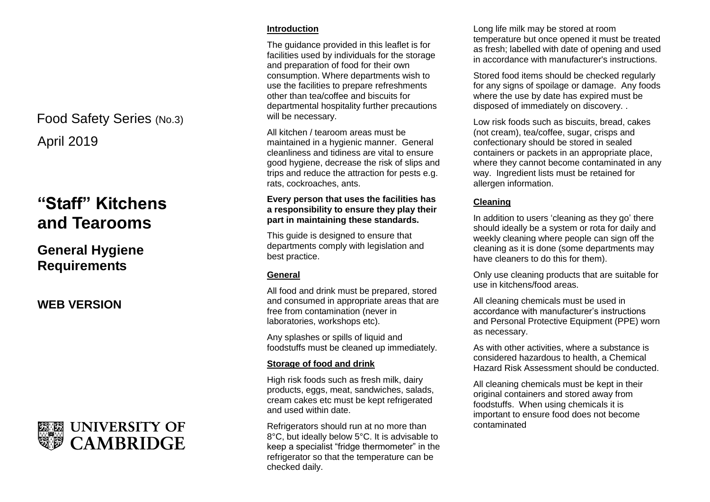## April 2019 Food Safety Series (No.3)

# **"Staff" Kitchens and Tearooms**

### **General Hygiene Requirements**

**WEB VERSION**



#### **Introduction**

The guidance provided in this leaflet is for facilities used by individuals for the storage and preparation of food for their own consumption. Where departments wish to use the facilities to prepare refreshments other than tea/coffee and biscuits for departmental hospitality further precautions will be necessary.

All kitchen / tearoom areas must be maintained in a hygienic manner. General cleanliness and tidiness are vital to ensure good hygiene, decrease the risk of slips and trips and reduce the attraction for pests e.g. rats, cockroaches, ants.

#### **Every person that uses the facilities has a responsibility to ensure they play their part in maintaining these standards.**

This guide is designed to ensure that departments comply with legislation and best practice.

#### **General**

All food and drink must be prepared, stored and consumed in appropriate areas that are free from contamination (never in laboratories, workshops etc).

Any splashes or spills of liquid and foodstuffs must be cleaned up immediately.

#### **Storage of food and drink**

High risk foods such as fresh milk, dairy products, eggs, meat, sandwiches, salads, cream cakes etc must be kept refrigerated and used within date.

Refrigerators should run at no more than 8°C, but ideally below 5°C. It is advisable to keep a specialist "fridge thermometer" in the refrigerator so that the temperature can be checked daily.

Long life milk may be stored at room temperature but once opened it must be treated as fresh; labelled with date of opening and used in accordance with manufacturer's instructions.

Stored food items should be checked regularly for any signs of spoilage or damage. Any foods where the use by date has expired must be disposed of immediately on discovery. .

Low risk foods such as biscuits, bread, cakes (not cream), tea/coffee, sugar, crisps and confectionary should be stored in sealed containers or packets in an appropriate place, where they cannot become contaminated in any way. Ingredient lists must be retained for allergen information.

#### **Cleaning**

In addition to users 'cleaning as they go' there should ideally be a system or rota for daily and weekly cleaning where people can sign off the cleaning as it is done (some departments may have cleaners to do this for them).

Only use cleaning products that are suitable for use in kitchens/food areas.

All cleaning chemicals must be used in accordance with manufacturer's instructions and Personal Protective Equipment (PPE) worn as necessary.

As with other activities, where a substance is considered hazardous to health, a Chemical Hazard Risk Assessment should be conducted.

All cleaning chemicals must be kept in their original containers and stored away from foodstuffs. When using chemicals it is important to ensure food does not become contaminated